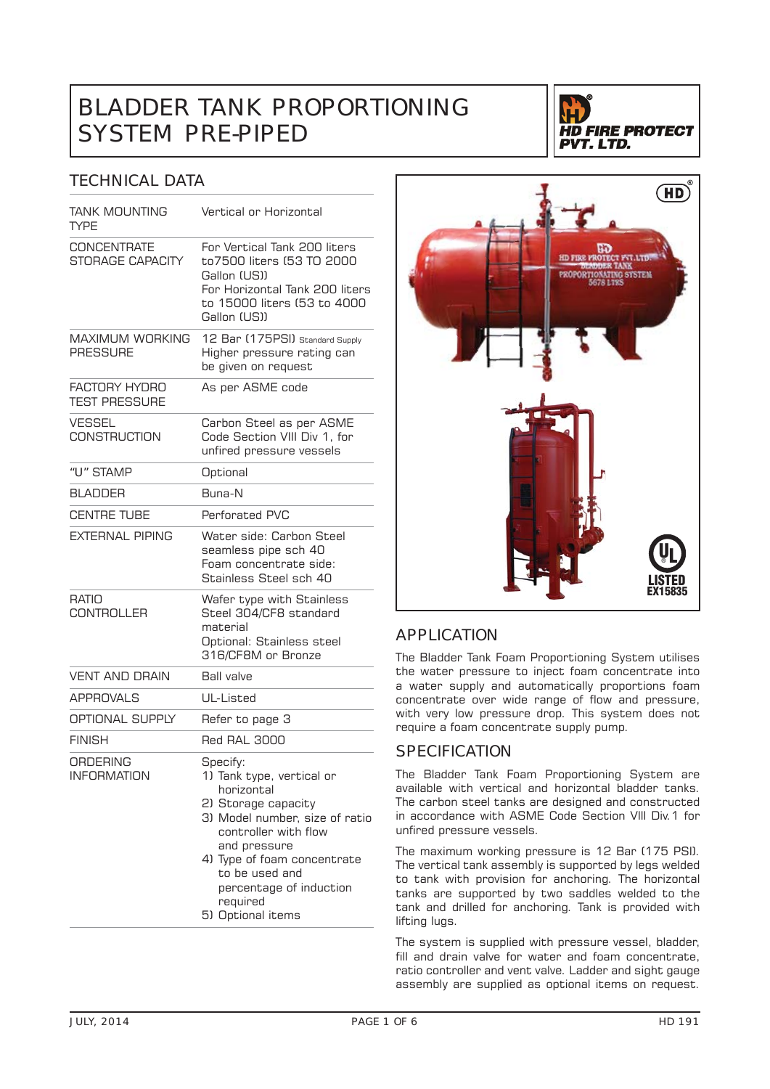# BLADDER TANK PROPORTIONING SYSTEM PRE-PIPED



### TECHNICAL DATA

| <b>TANK MOUNTING</b><br>TYPE              | Vertical or Horizontal                                                                                                                                                                                                                                            |  |
|-------------------------------------------|-------------------------------------------------------------------------------------------------------------------------------------------------------------------------------------------------------------------------------------------------------------------|--|
| <b>CONCENTRATE</b><br>STORAGE CAPACITY    | For Vertical Tank 200 liters<br>to7500 liters (53 TO 2000<br>Gallon (US))<br>For Horizontal Tank 200 liters<br>to 15000 liters (53 to 4000<br>Gallon (US))                                                                                                        |  |
| <b>MAXIMUM WORKING</b><br><b>PRESSURE</b> | 12 Bar (175PSI) Standard Supply<br>Higher pressure rating can<br>be given on request                                                                                                                                                                              |  |
| FACTORY HYDRO<br><b>TEST PRESSURE</b>     | As per ASME code                                                                                                                                                                                                                                                  |  |
| <b>VESSEL</b><br><b>CONSTRUCTION</b>      | Carbon Steel as per ASME<br>Code Section VIII Div 1, for<br>unfired pressure vessels                                                                                                                                                                              |  |
| "U" STAMP                                 | Optional                                                                                                                                                                                                                                                          |  |
| <b>BI ADDER</b>                           | Buna-N                                                                                                                                                                                                                                                            |  |
| <b>CENTRE TUBE</b>                        | Perforated PVC                                                                                                                                                                                                                                                    |  |
| <b>EXTERNAL PIPING</b>                    | Water side: Carbon Steel<br>seamless pipe sch 40<br>Foam concentrate side:<br>Stainless Steel sch 40                                                                                                                                                              |  |
| <b>RATIO</b><br><b>CONTROLLER</b>         | Wafer type with Stainless<br>Steel 304/CF8 standard<br>material<br>Optional: Stainless steel<br>316/CF8M or Bronze                                                                                                                                                |  |
| VENT AND DRAIN                            | <b>Ball valve</b>                                                                                                                                                                                                                                                 |  |
| <b>APPROVALS</b>                          | UL-Listed                                                                                                                                                                                                                                                         |  |
| OPTIONAL SUPPLY                           | Refer to page 3                                                                                                                                                                                                                                                   |  |
| <b>FINISH</b>                             | <b>Red RAL 3000</b>                                                                                                                                                                                                                                               |  |
| ORDERING<br><b>INFORMATION</b>            | Specify:<br>1) Tank type, vertical or<br>horizontal<br>2) Storage capacity<br>3) Model number, size of ratio<br>controller with flow<br>and pressure<br>4) Type of foam concentrate<br>to be used and<br>percentage of induction<br>required<br>5) Optional items |  |



## APPLICATION

The Bladder Tank Foam Proportioning System utilises the water pressure to inject foam concentrate into a water supply and automatically proportions foam concentrate over wide range of flow and pressure, with very low pressure drop. This system does not require a foam concentrate supply pump.

### **SPECIFICATION**

The Bladder Tank Foam Proportioning System are available with vertical and horizontal bladder tanks. The carbon steel tanks are designed and constructed in accordance with ASME Code Section Vlll Div.1 for unfired pressure vessels.

The maximum working pressure is 12 Bar (175 PSI). The vertical tank assembly is supported by legs welded to tank with provision for anchoring. The horizontal tanks are supported by two saddles welded to the tank and drilled for anchoring. Tank is provided with lifting lugs.

The system is supplied with pressure vessel, bladder, fill and drain valve for water and foam concentrate, ratio controller and vent valve. Ladder and sight gauge assembly are supplied as optional items on request.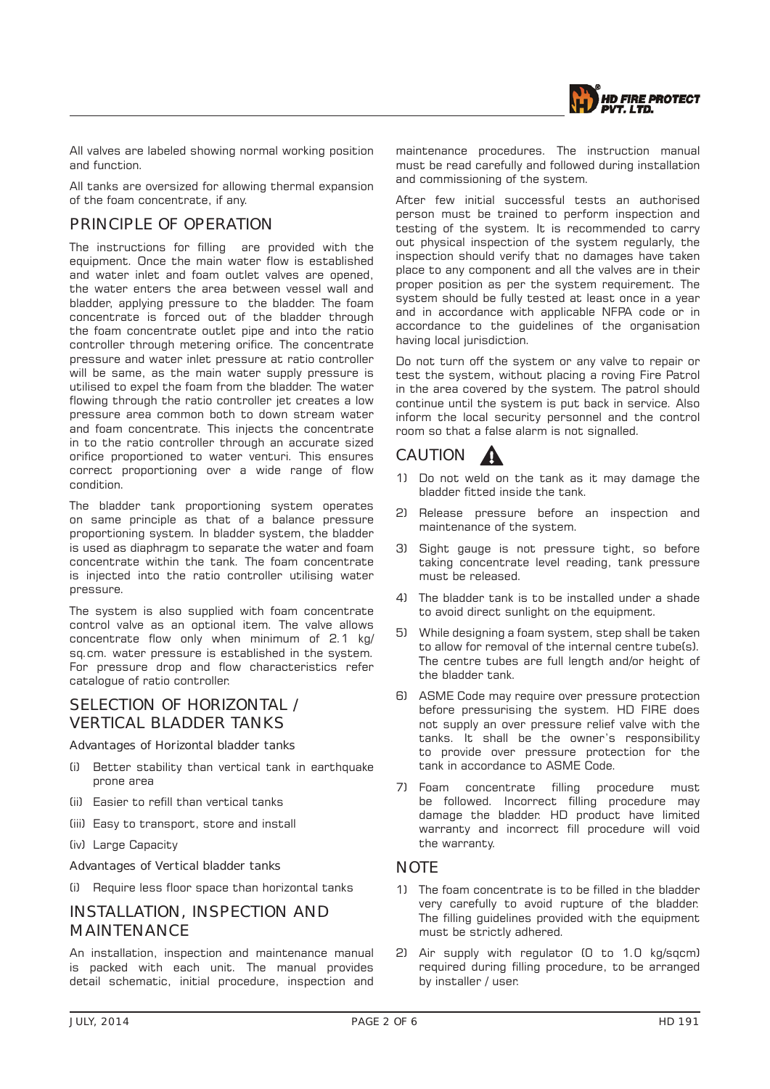

All valves are labeled showing normal working position and function.

All tanks are oversized for allowing thermal expansion of the foam concentrate, if any.

### PRINCIPLE OF OPERATION

The instructions for filling are provided with the equipment. Once the main water flow is established and water inlet and foam outlet valves are opened, the water enters the area between vessel wall and bladder, applying pressure to the bladder. The foam concentrate is forced out of the bladder through the foam concentrate outlet pipe and into the ratio controller through metering orifice. The concentrate pressure and water inlet pressure at ratio controller will be same, as the main water supply pressure is utilised to expel the foam from the bladder. The water flowing through the ratio controller jet creates a low pressure area common both to down stream water and foam concentrate. This injects the concentrate in to the ratio controller through an accurate sized orifice proportioned to water venturi. This ensures correct proportioning over a wide range of flow condition.

The bladder tank proportioning system operates on same principle as that of a balance pressure proportioning system. In bladder system, the bladder is used as diaphragm to separate the water and foam concentrate within the tank. The foam concentrate is injected into the ratio controller utilising water pressure.

The system is also supplied with foam concentrate control valve as an optional item. The valve allows concentrate flow only when minimum of 2.1 kg/ sq.cm. water pressure is established in the system. For pressure drop and flow characteristics refer catalogue of ratio controller.

### SELECTION OF HORIZONTAL / VERTICAL BLADDER TANKS

Advantages of Horizontal bladder tanks

- (i) Better stability than vertical tank in earthquake prone area
- (ii) Easier to refill than vertical tanks
- (iii) Easy to transport, store and install
- (iv) Large Capacity

Advantages of Vertical bladder tanks

(i) Require less floor space than horizontal tanks

### INSTALLATION, INSPECTION AND **MAINTENANCE**

An installation, inspection and maintenance manual is packed with each unit. The manual provides detail schematic, initial procedure, inspection and maintenance procedures. The instruction manual must be read carefully and followed during installation and commissioning of the system.

After few initial successful tests an authorised person must be trained to perform inspection and testing of the system. It is recommended to carry out physical inspection of the system regularly, the inspection should verify that no damages have taken place to any component and all the valves are in their proper position as per the system requirement. The system should be fully tested at least once in a year and in accordance with applicable NFPA code or in accordance to the guidelines of the organisation having local jurisdiction.

Do not turn off the system or any valve to repair or test the system, without placing a roving Fire Patrol in the area covered by the system. The patrol should continue until the system is put back in service. Also inform the local security personnel and the control room so that a false alarm is not signalled.

## CAUTION A

- 1) Do not weld on the tank as it may damage the bladder fitted inside the tank.
- 2) Release pressure before an inspection and maintenance of the system.
- 3) Sight gauge is not pressure tight, so before taking concentrate level reading, tank pressure must be released.
- 4) The bladder tank is to be installed under a shade to avoid direct sunlight on the equipment.
- 5) While designing a foam system, step shall be taken to allow for removal of the internal centre tube(s). The centre tubes are full length and/or height of the bladder tank.
- 6) ASME Code may require over pressure protection before pressurising the system. HD FIRE does not supply an over pressure relief valve with the tanks. It shall be the owner's responsibility to provide over pressure protection for the tank in accordance to ASME Code.
- 7) Foam concentrate filling procedure must be followed. Incorrect filling procedure may damage the bladder. HD product have limited warranty and incorrect fill procedure will void the warranty.

#### **NOTE**

- 1) The foam concentrate is to be filled in the bladder very carefully to avoid rupture of the bladder. The filling guidelines provided with the equipment must be strictly adhered.
- 2) Air supply with regulator (0 to 1.0 kg/sqcm) required during filling procedure, to be arranged by installer / user.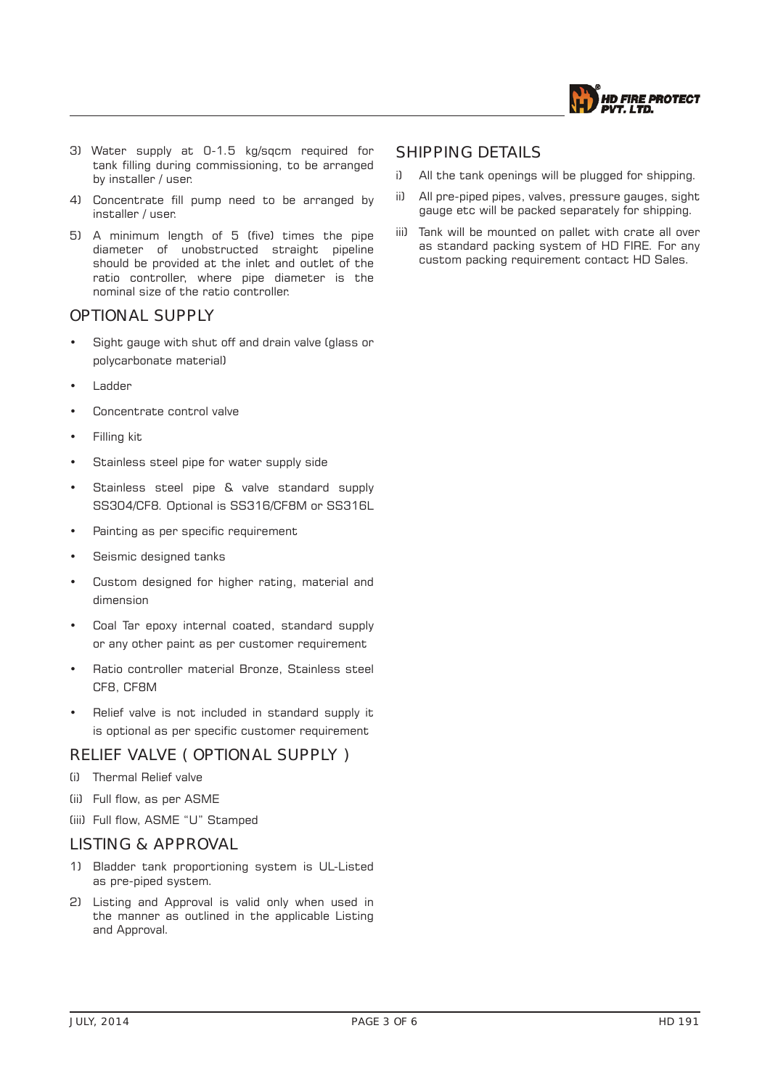

- 3) Water supply at 0-1.5 kg/sqcm required for tank filling during commissioning, to be arranged by installer / user.
- 4) Concentrate fill pump need to be arranged by installer / user.
- 5) A minimum length of 5 (five) times the pipe diameter of unobstructed straight pipeline should be provided at the inlet and outlet of the ratio controller, where pipe diameter is the nominal size of the ratio controller.

### OPTIONAL SUPPLY

- Sight gauge with shut off and drain valve (glass or polycarbonate material)
- Ladder
- Concentrate control valve
- Filling kit
- Stainless steel pipe for water supply side
- Stainless steel pipe & valve standard supply SS304/CF8. Optional is SS316/CF8M or SS316L
- Painting as per specific requirement
- Seismic designed tanks
- Custom designed for higher rating, material and dimension
- Coal Tar epoxy internal coated, standard supply or any other paint as per customer requirement
- Ratio controller material Bronze, Stainless steel CF8, CF8M
- Relief valve is not included in standard supply it is optional as per specific customer requirement

### RELIEF VALVE ( OPTIONAL SUPPLY )

- (i) Thermal Relief valve
- (ii) Full flow, as per ASME
- (iii) Full flow, ASME "U" Stamped

#### LISTING & APPROVAL

- 1) Bladder tank proportioning system is UL-Listed as pre-piped system.
- 2) Listing and Approval is valid only when used in the manner as outlined in the applicable Listing and Approval.

#### SHIPPING DETAILS

- i) All the tank openings will be plugged for shipping.
- ii) All pre-piped pipes, valves, pressure gauges, sight gauge etc will be packed separately for shipping.
- iii) Tank will be mounted on pallet with crate all over as standard packing system of HD FIRE. For any custom packing requirement contact HD Sales.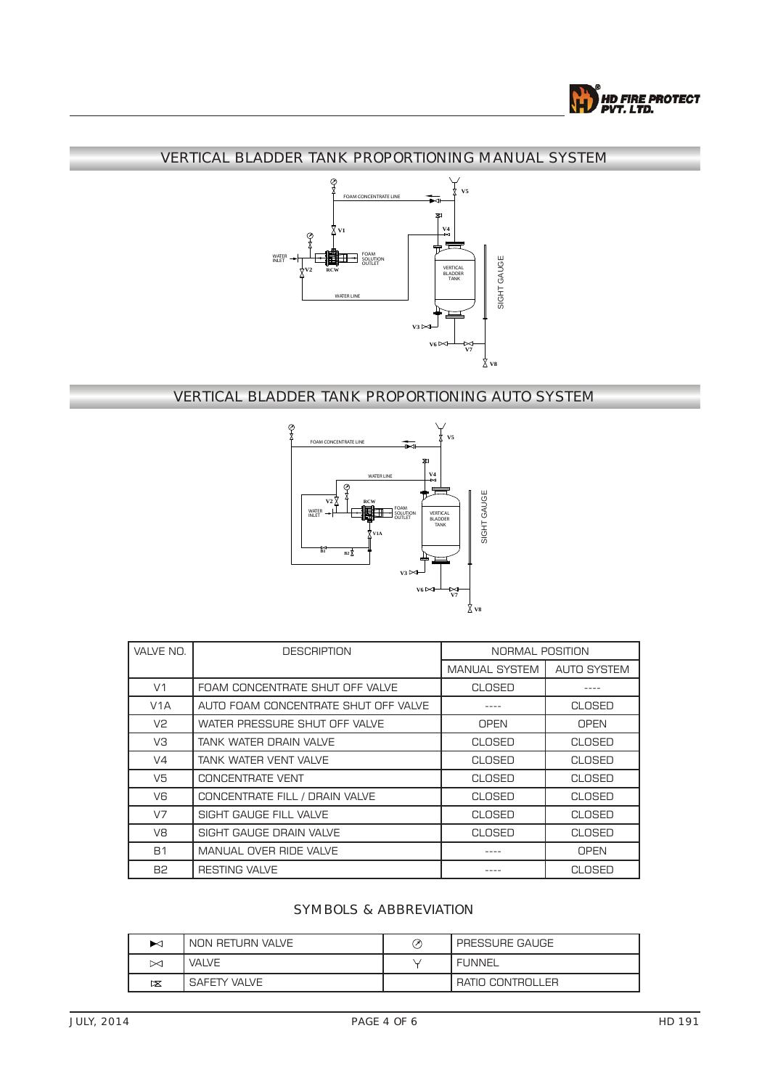

### VERTICAL BLADDER TANK PROPORTIONING MANUAL SYSTEM



## VERTICAL BLADDER TANK PROPORTIONING AUTO SYSTEM



| VALVE NO.        | <b>DESCRIPTION</b>                   | NORMAL POSITION |                    |
|------------------|--------------------------------------|-----------------|--------------------|
|                  |                                      | MANUAL SYSTEM   | <b>AUTO SYSTEM</b> |
| V <sub>1</sub>   | FOAM CONCENTRATE SHUT OFF VALVE      | <b>CLOSED</b>   |                    |
| V <sub>1</sub> A | AUTO FOAM CONCENTRATE SHUT OFF VALVE |                 | <b>CLOSED</b>      |
| V <sub>2</sub>   | WATER PRESSURE SHUT OFF VALVE        | <b>OPEN</b>     | <b>OPEN</b>        |
| VЗ               | TANK WATER DRAIN VALVE               | CLOSED          | <b>CLOSED</b>      |
| V <sub>4</sub>   | TANK WATER VENT VALVE                | CLOSED          | <b>CLOSED</b>      |
| V5               | CONCENTRATE VENT                     | CLOSED          | <b>CLOSED</b>      |
| V6               | CONCENTRATE FILL / DRAIN VALVE       | CLOSED          | <b>CLOSED</b>      |
| V <sub>7</sub>   | SIGHT GAUGE FILL VALVE               | CLOSED          | <b>CLOSED</b>      |
| V8               | SIGHT GAUGE DRAIN VALVE              | CLOSED          | CLOSED             |
| <b>B1</b>        | MANUAL OVER RIDE VALVE               |                 | <b>OPEN</b>        |
| <b>B2</b>        | <b>RESTING VALVE</b>                 |                 | CLOSED             |

### SYMBOLS & ABBREVIATION

| ⊷                | NON RETURN VALVE | ᢙ | PRESSURE GAUGE   |
|------------------|------------------|---|------------------|
| ⊠                | VALVE            |   | FUNNEL           |
| $\triangleright$ | SAFETY VALVE     |   | RATIO CONTROLLER |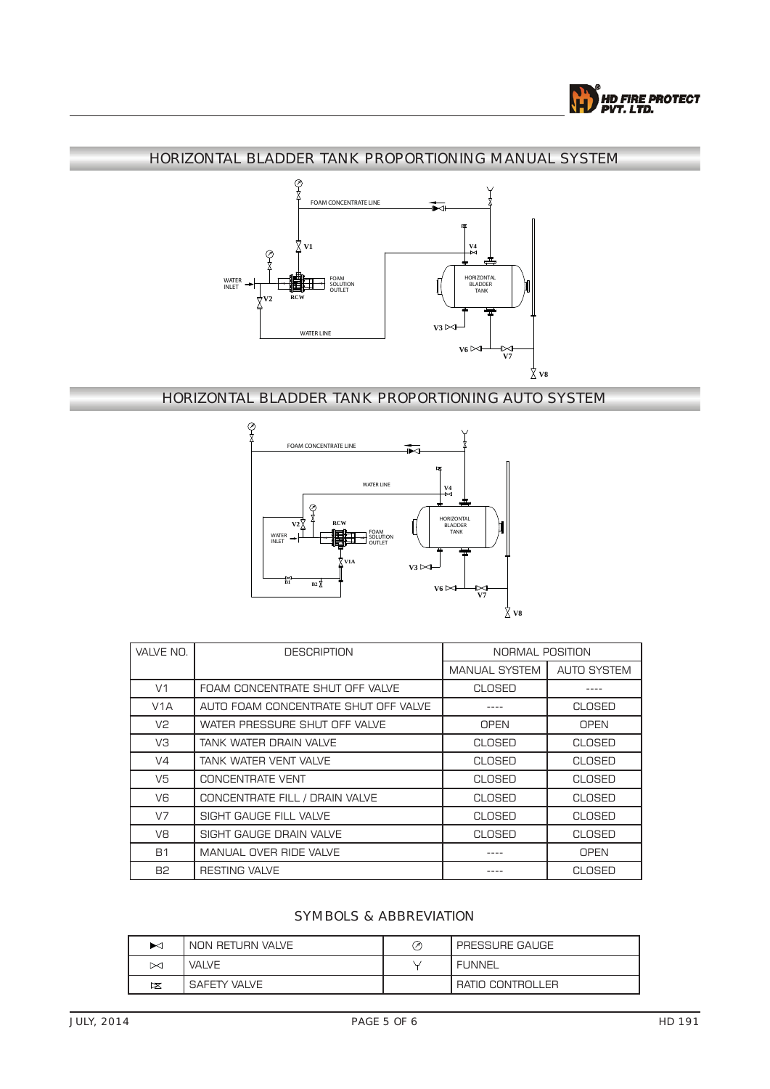

### HORIZONTAL BLADDER TANK PROPORTIONING MANUAL SYSTEM



## HORIZONTAL BLADDER TANK PROPORTIONING AUTO SYSTEM



| VALVE NO.        | <b>DESCRIPTION</b><br>NORMAL POSITION |                      |                    |
|------------------|---------------------------------------|----------------------|--------------------|
|                  |                                       | <b>MANUAL SYSTEM</b> | <b>AUTO SYSTEM</b> |
| V <sub>1</sub>   | FOAM CONCENTRATE SHUT OFF VALVE       | <b>CLOSED</b>        |                    |
| V <sub>1</sub> A | AUTO FOAM CONCENTRATE SHUT OFF VALVE  |                      | <b>CLOSED</b>      |
| V <sub>2</sub>   | WATER PRESSURE SHUT OFF VALVE         | <b>OPEN</b>          | <b>OPEN</b>        |
| VЗ               | TANK WATER DRAIN VALVE                | CLOSED               | <b>CLOSED</b>      |
| V <sub>4</sub>   | TANK WATER VENT VALVE                 | <b>CLOSED</b>        | CLOSED             |
| V <sub>5</sub>   | CONCENTRATE VENT                      | CLOSED               | CLOSED             |
| V6               | CONCENTRATE FILL / DRAIN VALVE        | CLOSED               | CLOSED             |
| V <sub>7</sub>   | SIGHT GAUGE FILL VALVE                | CLOSED               | <b>CLOSED</b>      |
| V8               | SIGHT GAUGE DRAIN VALVE               | CLOSED               | <b>CLOSED</b>      |
| <b>B1</b>        | MANUAL OVER RIDE VALVE                |                      | <b>OPEN</b>        |
| <b>B2</b>        | <b>RESTING VALVE</b>                  |                      | <b>CLOSED</b>      |

#### SYMBOLS & ABBREVIATION

| ⊷                | NON RETURN VALVE | ⊘ | PRESSURE GAUGE   |
|------------------|------------------|---|------------------|
| $\bowtie$        | <b>VALVE</b>     |   | <b>FUNNEL</b>    |
| $\triangleright$ | SAFETY VALVE     |   | RATIO CONTROLLER |